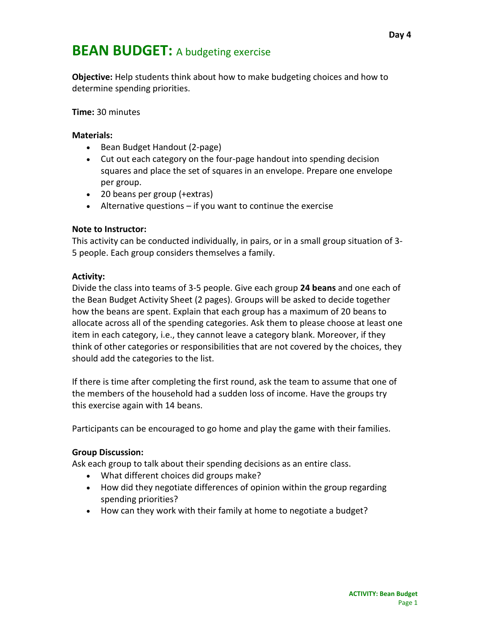## **BEAN BUDGET:** A budgeting exercise

**Objective:** Help students think about how to make budgeting choices and how to determine spending priorities.

**Time:** 30 minutes

#### **Materials:**

- Bean Budget Handout (2-page)
- Cut out each category on the four-page handout into spending decision squares and place the set of squares in an envelope. Prepare one envelope per group.
- 20 beans per group (+extras)
- $\bullet$  Alternative questions if you want to continue the exercise

#### **Note to Instructor:**

This activity can be conducted individually, in pairs, or in a small group situation of 3- 5 people. Each group considers themselves a family.

#### **Activity:**

Divide the class into teams of 3-5 people. Give each group **24 beans** and one each of the Bean Budget Activity Sheet (2 pages). Groups will be asked to decide together how the beans are spent. Explain that each group has a maximum of 20 beans to allocate across all of the spending categories. Ask them to please choose at least one item in each category, i.e., they cannot leave a category blank. Moreover, if they think of other categories or responsibilities that are not covered by the choices, they should add the categories to the list.

If there is time after completing the first round, ask the team to assume that one of the members of the household had a sudden loss of income. Have the groups try this exercise again with 14 beans.

Participants can be encouraged to go home and play the game with their families.

#### **Group Discussion:**

Ask each group to talk about their spending decisions as an entire class.

- What different choices did groups make?
- How did they negotiate differences of opinion within the group regarding spending priorities?
- How can they work with their family at home to negotiate a budget?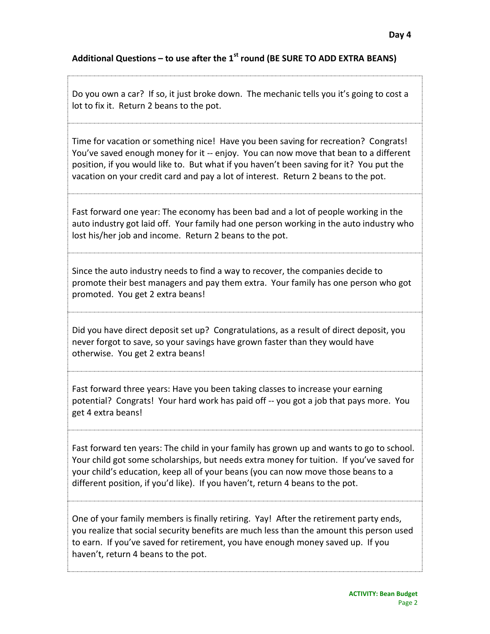### **Additional Questions – to use after the 1 st round (BE SURE TO ADD EXTRA BEANS)**

Do you own a car? If so, it just broke down. The mechanic tells you it's going to cost a lot to fix it. Return 2 beans to the pot.

Time for vacation or something nice! Have you been saving for recreation? Congrats! You've saved enough money for it -- enjoy. You can now move that bean to a different position, if you would like to. But what if you haven't been saving for it? You put the vacation on your credit card and pay a lot of interest. Return 2 beans to the pot.

Fast forward one year: The economy has been bad and a lot of people working in the auto industry got laid off. Your family had one person working in the auto industry who lost his/her job and income. Return 2 beans to the pot.

Since the auto industry needs to find a way to recover, the companies decide to promote their best managers and pay them extra. Your family has one person who got promoted. You get 2 extra beans!

Did you have direct deposit set up? Congratulations, as a result of direct deposit, you never forgot to save, so your savings have grown faster than they would have otherwise. You get 2 extra beans!

Fast forward three years: Have you been taking classes to increase your earning potential? Congrats! Your hard work has paid off -- you got a job that pays more. You get 4 extra beans!

Fast forward ten years: The child in your family has grown up and wants to go to school. Your child got some scholarships, but needs extra money for tuition. If you've saved for your child's education, keep all of your beans (you can now move those beans to a different position, if you'd like). If you haven't, return 4 beans to the pot.

One of your family members is finally retiring. Yay! After the retirement party ends, you realize that social security benefits are much less than the amount this person used to earn. If you've saved for retirement, you have enough money saved up. If you haven't, return 4 beans to the pot.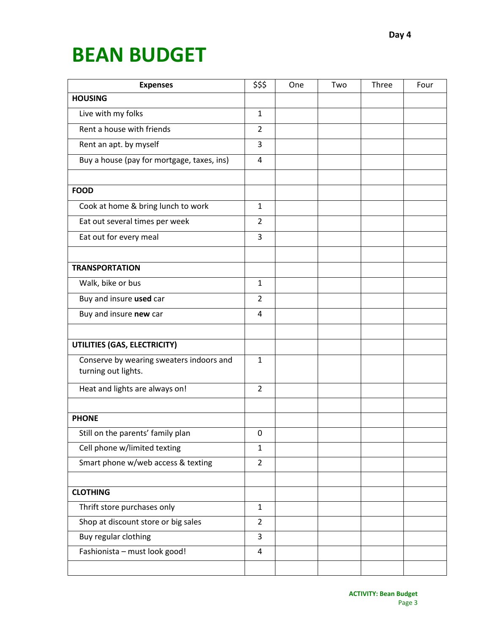# **BEAN BUDGET**

| <b>Expenses</b>                                                 | \$\$\$         | One | Two | Three | Four |
|-----------------------------------------------------------------|----------------|-----|-----|-------|------|
| <b>HOUSING</b>                                                  |                |     |     |       |      |
| Live with my folks                                              | $\mathbf{1}$   |     |     |       |      |
| Rent a house with friends                                       | $\overline{2}$ |     |     |       |      |
| Rent an apt. by myself                                          | 3              |     |     |       |      |
| Buy a house (pay for mortgage, taxes, ins)                      | $\overline{4}$ |     |     |       |      |
| <b>FOOD</b>                                                     |                |     |     |       |      |
|                                                                 |                |     |     |       |      |
| Cook at home & bring lunch to work                              | $\mathbf{1}$   |     |     |       |      |
| Eat out several times per week                                  | $\overline{2}$ |     |     |       |      |
| Eat out for every meal                                          | 3              |     |     |       |      |
|                                                                 |                |     |     |       |      |
| <b>TRANSPORTATION</b>                                           |                |     |     |       |      |
| Walk, bike or bus                                               | $\mathbf{1}$   |     |     |       |      |
| Buy and insure used car                                         | $\overline{2}$ |     |     |       |      |
| Buy and insure new car                                          | 4              |     |     |       |      |
|                                                                 |                |     |     |       |      |
| UTILITIES (GAS, ELECTRICITY)                                    |                |     |     |       |      |
| Conserve by wearing sweaters indoors and<br>turning out lights. | $\mathbf{1}$   |     |     |       |      |
| Heat and lights are always on!                                  | $\overline{2}$ |     |     |       |      |
|                                                                 |                |     |     |       |      |
| <b>PHONE</b>                                                    |                |     |     |       |      |
| Still on the parents' family plan                               | 0              |     |     |       |      |
| Cell phone w/limited texting                                    | $\mathbf{1}$   |     |     |       |      |
| Smart phone w/web access & texting                              | $\overline{2}$ |     |     |       |      |
|                                                                 |                |     |     |       |      |
| <b>CLOTHING</b>                                                 |                |     |     |       |      |
| Thrift store purchases only                                     | $\mathbf{1}$   |     |     |       |      |
| Shop at discount store or big sales                             | $\overline{2}$ |     |     |       |      |
| Buy regular clothing                                            | 3              |     |     |       |      |
| Fashionista - must look good!                                   | 4              |     |     |       |      |
|                                                                 |                |     |     |       |      |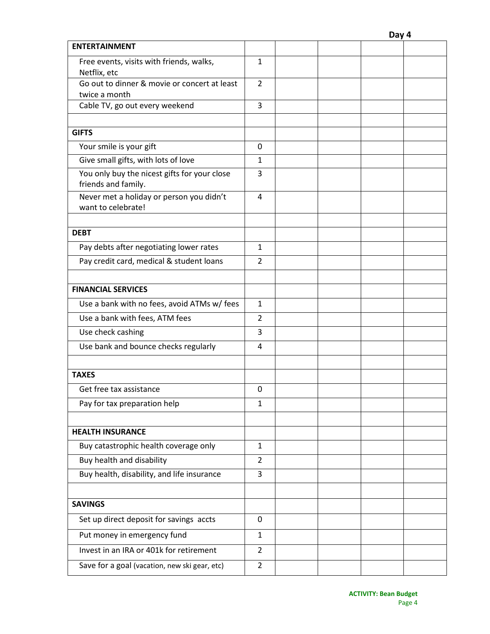| <b>ENTERTAINMENT</b>                            |                |  |  |
|-------------------------------------------------|----------------|--|--|
| Free events, visits with friends, walks,        | $\mathbf{1}$   |  |  |
| Netflix, etc                                    |                |  |  |
| Go out to dinner & movie or concert at least    | $\overline{2}$ |  |  |
| twice a month<br>Cable TV, go out every weekend | 3              |  |  |
|                                                 |                |  |  |
| <b>GIFTS</b>                                    |                |  |  |
| Your smile is your gift                         | 0              |  |  |
| Give small gifts, with lots of love             | 1              |  |  |
| You only buy the nicest gifts for your close    | 3              |  |  |
| friends and family.                             |                |  |  |
| Never met a holiday or person you didn't        | 4              |  |  |
| want to celebrate!                              |                |  |  |
|                                                 |                |  |  |
| <b>DEBT</b>                                     |                |  |  |
| Pay debts after negotiating lower rates         | 1              |  |  |
| Pay credit card, medical & student loans        | $\overline{2}$ |  |  |
|                                                 |                |  |  |
| <b>FINANCIAL SERVICES</b>                       |                |  |  |
| Use a bank with no fees, avoid ATMs w/ fees     | $\mathbf{1}$   |  |  |
| Use a bank with fees, ATM fees                  | $\overline{2}$ |  |  |
| Use check cashing                               | 3              |  |  |
| Use bank and bounce checks regularly            | 4              |  |  |
|                                                 |                |  |  |
| <b>TAXES</b>                                    |                |  |  |
| Get free tax assistance                         | 0              |  |  |
| Pay for tax preparation help                    | $\mathbf{1}$   |  |  |
|                                                 |                |  |  |
| <b>HEALTH INSURANCE</b>                         |                |  |  |
| Buy catastrophic health coverage only           | 1              |  |  |
| Buy health and disability                       | $\overline{2}$ |  |  |
| Buy health, disability, and life insurance      | 3              |  |  |
|                                                 |                |  |  |
| <b>SAVINGS</b>                                  |                |  |  |
| Set up direct deposit for savings accts         | 0              |  |  |
| Put money in emergency fund                     | $\mathbf{1}$   |  |  |
| Invest in an IRA or 401k for retirement         | $\overline{2}$ |  |  |
| Save for a goal (vacation, new ski gear, etc)   | 2              |  |  |